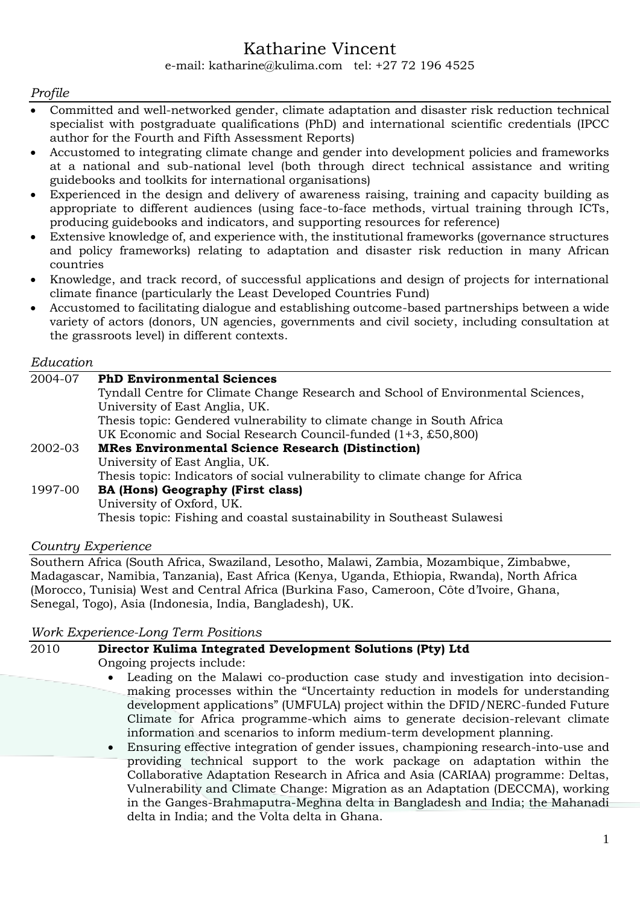# Katharine Vincent

e-mail: katharine@kulima.com tel: +27 72 196 4525

# *Profile*

- Committed and well-networked gender, climate adaptation and disaster risk reduction technical specialist with postgraduate qualifications (PhD) and international scientific credentials (IPCC author for the Fourth and Fifth Assessment Reports)
- Accustomed to integrating climate change and gender into development policies and frameworks at a national and sub-national level (both through direct technical assistance and writing guidebooks and toolkits for international organisations)
- Experienced in the design and delivery of awareness raising, training and capacity building as appropriate to different audiences (using face-to-face methods, virtual training through ICTs, producing guidebooks and indicators, and supporting resources for reference)
- Extensive knowledge of, and experience with, the institutional frameworks (governance structures and policy frameworks) relating to adaptation and disaster risk reduction in many African countries
- Knowledge, and track record, of successful applications and design of projects for international climate finance (particularly the Least Developed Countries Fund)
- Accustomed to facilitating dialogue and establishing outcome-based partnerships between a wide variety of actors (donors, UN agencies, governments and civil society, including consultation at the grassroots level) in different contexts.

#### *Education*

| 2004-07 | <b>PhD Environmental Sciences</b>                                                |
|---------|----------------------------------------------------------------------------------|
|         | Tyndall Centre for Climate Change Research and School of Environmental Sciences, |
|         | University of East Anglia, UK.                                                   |
|         | Thesis topic: Gendered vulnerability to climate change in South Africa           |
|         | UK Economic and Social Research Council-funded (1+3, £50,800)                    |
| 2002-03 | <b>MRes Environmental Science Research (Distinction)</b>                         |
|         | University of East Anglia, UK.                                                   |
|         | Thesis topic: Indicators of social vulnerability to climate change for Africa    |
| 1997-00 | <b>BA (Hons) Geography (First class)</b>                                         |
|         | University of Oxford, UK.                                                        |
|         | Thesis topic: Fishing and coastal sustainability in Southeast Sulawesi           |
|         |                                                                                  |

# *Country Experience*

Southern Africa (South Africa, Swaziland, Lesotho, Malawi, Zambia, Mozambique, Zimbabwe, Madagascar, Namibia, Tanzania), East Africa (Kenya, Uganda, Ethiopia, Rwanda), North Africa (Morocco, Tunisia) West and Central Africa (Burkina Faso, Cameroon, Côte d'Ivoire, Ghana, Senegal, Togo), Asia (Indonesia, India, Bangladesh), UK.

# *Work Experience-Long Term Positions*

# 2010 **Director Kulima Integrated Development Solutions (Pty) Ltd**

Ongoing projects include:

- Leading on the Malawi co-production case study and investigation into decisionmaking processes within the "Uncertainty reduction in models for understanding development applications" (UMFULA) project within the DFID/NERC-funded Future Climate for Africa programme-which aims to generate decision-relevant climate information and scenarios to inform medium-term development planning.
- Ensuring effective integration of gender issues, championing research-into-use and providing technical support to the work package on adaptation within the Collaborative Adaptation Research in Africa and Asia (CARIAA) programme: Deltas, Vulnerability and Climate Change: Migration as an Adaptation (DECCMA), working in the Ganges-Brahmaputra-Meghna delta in Bangladesh and India; the Mahanadi delta in India; and the Volta delta in Ghana.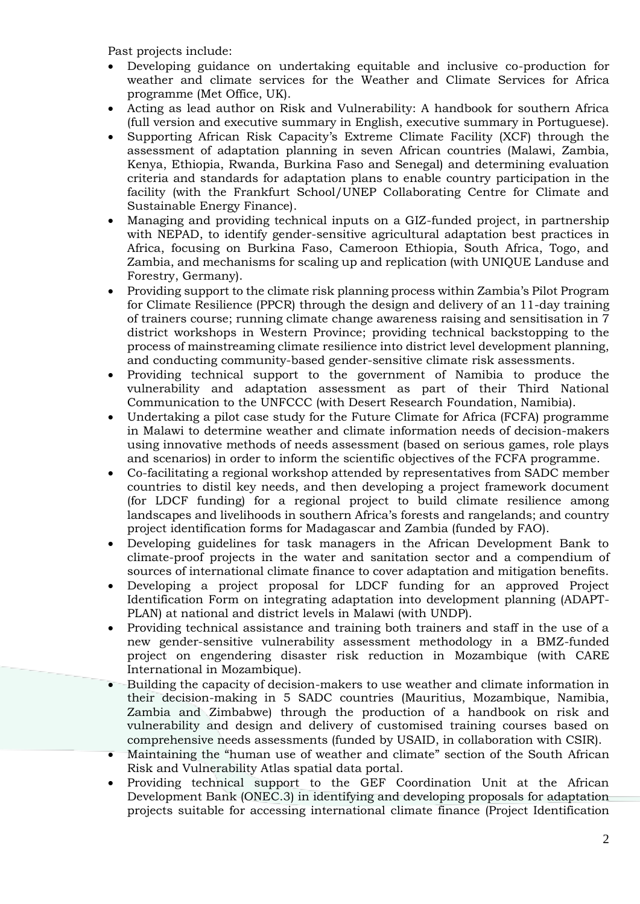Past projects include:

- Developing guidance on undertaking equitable and inclusive co-production for weather and climate services for the Weather and Climate Services for Africa programme (Met Office, UK).
- Acting as lead author on Risk and Vulnerability: A handbook for southern Africa (full version and executive summary in English, executive summary in Portuguese).
- Supporting African Risk Capacity's Extreme Climate Facility (XCF) through the assessment of adaptation planning in seven African countries (Malawi, Zambia, Kenya, Ethiopia, Rwanda, Burkina Faso and Senegal) and determining evaluation criteria and standards for adaptation plans to enable country participation in the facility (with the Frankfurt School/UNEP Collaborating Centre for Climate and Sustainable Energy Finance).
- Managing and providing technical inputs on a GIZ-funded project, in partnership with NEPAD, to identify gender-sensitive agricultural adaptation best practices in Africa, focusing on Burkina Faso, Cameroon Ethiopia, South Africa, Togo, and Zambia, and mechanisms for scaling up and replication (with UNIQUE Landuse and Forestry, Germany).
- Providing support to the climate risk planning process within Zambia's Pilot Program for Climate Resilience (PPCR) through the design and delivery of an 11-day training of trainers course; running climate change awareness raising and sensitisation in 7 district workshops in Western Province; providing technical backstopping to the process of mainstreaming climate resilience into district level development planning, and conducting community-based gender-sensitive climate risk assessments.
- Providing technical support to the government of Namibia to produce the vulnerability and adaptation assessment as part of their Third National Communication to the UNFCCC (with Desert Research Foundation, Namibia).
- Undertaking a pilot case study for the Future Climate for Africa (FCFA) programme in Malawi to determine weather and climate information needs of decision-makers using innovative methods of needs assessment (based on serious games, role plays and scenarios) in order to inform the scientific objectives of the FCFA programme.
- Co-facilitating a regional workshop attended by representatives from SADC member countries to distil key needs, and then developing a project framework document (for LDCF funding) for a regional project to build climate resilience among landscapes and livelihoods in southern Africa's forests and rangelands; and country project identification forms for Madagascar and Zambia (funded by FAO).
- Developing guidelines for task managers in the African Development Bank to climate-proof projects in the water and sanitation sector and a compendium of sources of international climate finance to cover adaptation and mitigation benefits.
- Developing a project proposal for LDCF funding for an approved Project Identification Form on integrating adaptation into development planning (ADAPT-PLAN) at national and district levels in Malawi (with UNDP).
- Providing technical assistance and training both trainers and staff in the use of a new gender-sensitive vulnerability assessment methodology in a BMZ-funded project on engendering disaster risk reduction in Mozambique (with CARE International in Mozambique).
- Building the capacity of decision-makers to use weather and climate information in their decision-making in 5 SADC countries (Mauritius, Mozambique, Namibia, Zambia and Zimbabwe) through the production of a handbook on risk and vulnerability and design and delivery of customised training courses based on comprehensive needs assessments (funded by USAID, in collaboration with CSIR).
- Maintaining the "human use of weather and climate" section of the South African Risk and Vulnerability Atlas spatial data portal.
- Providing technical support to the GEF Coordination Unit at the African Development Bank (ONEC.3) in identifying and developing proposals for adaptation projects suitable for accessing international climate finance (Project Identification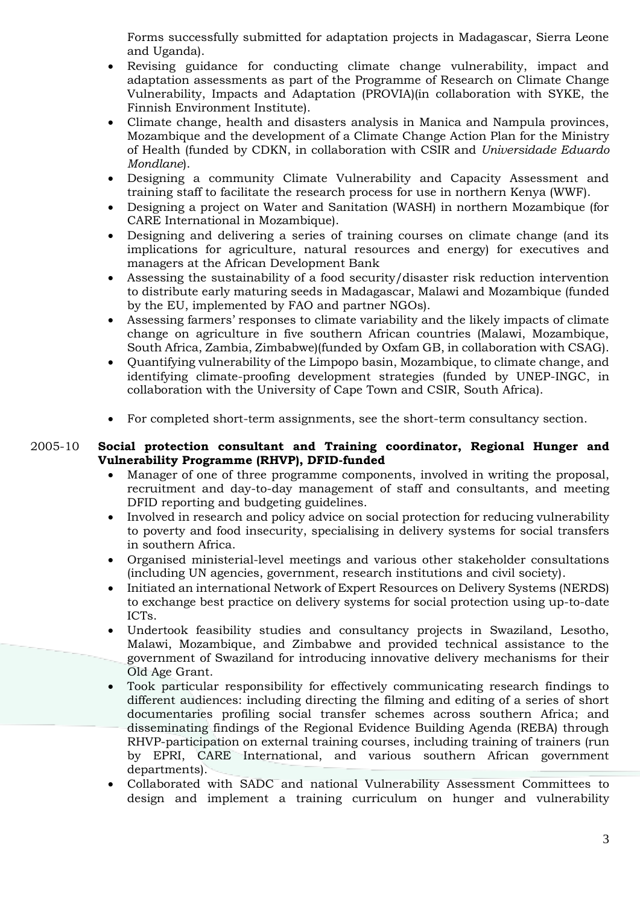Forms successfully submitted for adaptation projects in Madagascar, Sierra Leone and Uganda).

- Revising guidance for conducting climate change vulnerability, impact and adaptation assessments as part of the Programme of Research on Climate Change Vulnerability, Impacts and Adaptation (PROVIA)(in collaboration with SYKE, the Finnish Environment Institute).
- Climate change, health and disasters analysis in Manica and Nampula provinces, Mozambique and the development of a Climate Change Action Plan for the Ministry of Health (funded by CDKN, in collaboration with CSIR and *Universidade Eduardo Mondlane*).
- Designing a community Climate Vulnerability and Capacity Assessment and training staff to facilitate the research process for use in northern Kenya (WWF).
- Designing a project on Water and Sanitation (WASH) in northern Mozambique (for CARE International in Mozambique).
- Designing and delivering a series of training courses on climate change (and its implications for agriculture, natural resources and energy) for executives and managers at the African Development Bank
- Assessing the sustainability of a food security/disaster risk reduction intervention to distribute early maturing seeds in Madagascar, Malawi and Mozambique (funded by the EU, implemented by FAO and partner NGOs).
- Assessing farmers' responses to climate variability and the likely impacts of climate change on agriculture in five southern African countries (Malawi, Mozambique, South Africa, Zambia, Zimbabwe)(funded by Oxfam GB, in collaboration with CSAG).
- Quantifying vulnerability of the Limpopo basin, Mozambique, to climate change, and identifying climate-proofing development strategies (funded by UNEP-INGC, in collaboration with the University of Cape Town and CSIR, South Africa).
- For completed short-term assignments, see the short-term consultancy section.

#### 2005-10 **Social protection consultant and Training coordinator, Regional Hunger and Vulnerability Programme (RHVP), DFID-funded**

- Manager of one of three programme components, involved in writing the proposal, recruitment and day-to-day management of staff and consultants, and meeting DFID reporting and budgeting guidelines.
- Involved in research and policy advice on social protection for reducing vulnerability to poverty and food insecurity, specialising in delivery systems for social transfers in southern Africa.
- Organised ministerial-level meetings and various other stakeholder consultations (including UN agencies, government, research institutions and civil society).
- Initiated an international Network of Expert Resources on Delivery Systems (NERDS) to exchange best practice on delivery systems for social protection using up-to-date ICTs.
- Undertook feasibility studies and consultancy projects in Swaziland, Lesotho, Malawi, Mozambique, and Zimbabwe and provided technical assistance to the government of Swaziland for introducing innovative delivery mechanisms for their Old Age Grant.
- Took particular responsibility for effectively communicating research findings to different audiences: including directing the filming and editing of a series of short documentaries profiling social transfer schemes across southern Africa; and disseminating findings of the Regional Evidence Building Agenda (REBA) through RHVP-participation on external training courses, including training of trainers (run by EPRI, CARE International, and various southern African government departments).
- Collaborated with SADC and national Vulnerability Assessment Committees to design and implement a training curriculum on hunger and vulnerability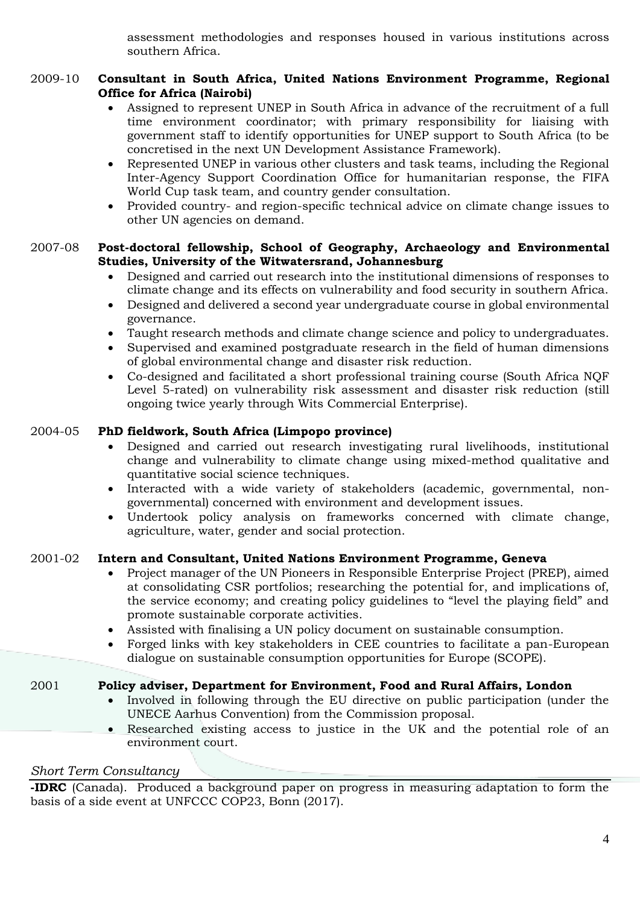assessment methodologies and responses housed in various institutions across southern Africa.

#### 2009-10 **Consultant in South Africa, United Nations Environment Programme, Regional Office for Africa (Nairobi)**

- Assigned to represent UNEP in South Africa in advance of the recruitment of a full time environment coordinator; with primary responsibility for liaising with government staff to identify opportunities for UNEP support to South Africa (to be concretised in the next UN Development Assistance Framework).
- Represented UNEP in various other clusters and task teams, including the Regional Inter-Agency Support Coordination Office for humanitarian response, the FIFA World Cup task team, and country gender consultation.
- Provided country- and region-specific technical advice on climate change issues to other UN agencies on demand.

#### 2007-08 **Post-doctoral fellowship, School of Geography, Archaeology and Environmental Studies, University of the Witwatersrand, Johannesburg**

- Designed and carried out research into the institutional dimensions of responses to climate change and its effects on vulnerability and food security in southern Africa.
- Designed and delivered a second year undergraduate course in global environmental governance.
- Taught research methods and climate change science and policy to undergraduates.
- Supervised and examined postgraduate research in the field of human dimensions of global environmental change and disaster risk reduction.
- Co-designed and facilitated a short professional training course (South Africa NQF Level 5-rated) on vulnerability risk assessment and disaster risk reduction (still ongoing twice yearly through Wits Commercial Enterprise).

# 2004-05 **PhD fieldwork, South Africa (Limpopo province)**

- Designed and carried out research investigating rural livelihoods, institutional change and vulnerability to climate change using mixed-method qualitative and quantitative social science techniques.
- Interacted with a wide variety of stakeholders (academic, governmental, nongovernmental) concerned with environment and development issues.
- Undertook policy analysis on frameworks concerned with climate change, agriculture, water, gender and social protection.

# 2001-02 **Intern and Consultant, United Nations Environment Programme, Geneva**

- Project manager of the UN Pioneers in Responsible Enterprise Project (PREP), aimed at consolidating CSR portfolios; researching the potential for, and implications of, the service economy; and creating policy guidelines to "level the playing field" and promote sustainable corporate activities.
- Assisted with finalising a UN policy document on sustainable consumption.
- Forged links with key stakeholders in CEE countries to facilitate a pan-European dialogue on sustainable consumption opportunities for Europe (SCOPE).

# 2001 **Policy adviser, Department for Environment, Food and Rural Affairs, London**

- Involved in following through the EU directive on public participation (under the UNECE Aarhus Convention) from the Commission proposal.
- Researched existing access to justice in the UK and the potential role of an environment court.

# *Short Term Consultancy*

**-IDRC** (Canada). Produced a background paper on progress in measuring adaptation to form the basis of a side event at UNFCCC COP23, Bonn (2017).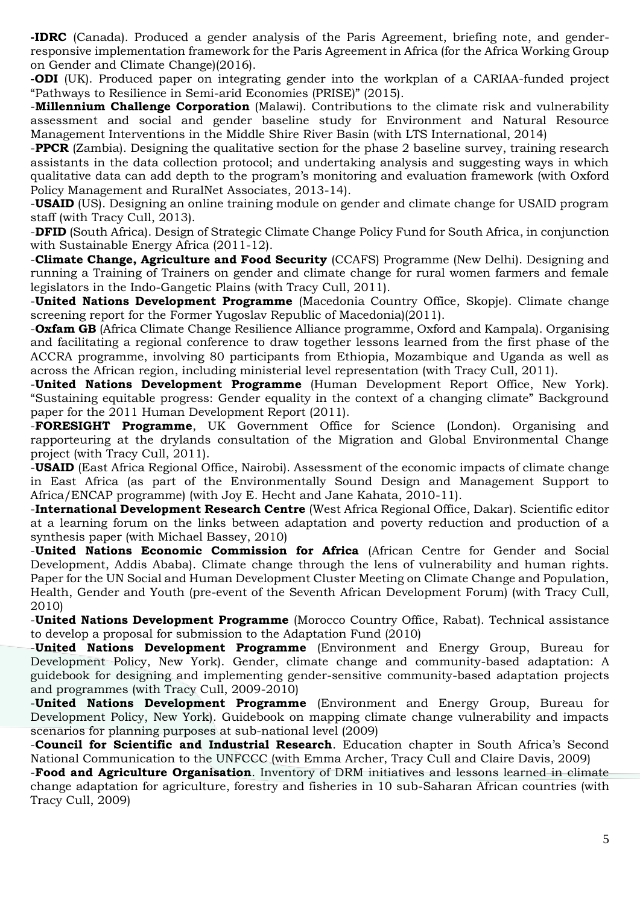**-IDRC** (Canada). Produced a gender analysis of the Paris Agreement, briefing note, and genderresponsive implementation framework for the Paris Agreement in Africa (for the Africa Working Group on Gender and Climate Change)(2016).

**-ODI** (UK). Produced paper on integrating gender into the workplan of a CARIAA-funded project "Pathways to Resilience in Semi-arid Economies (PRISE)" (2015).

-**Millennium Challenge Corporation** (Malawi). Contributions to the climate risk and vulnerability assessment and social and gender baseline study for Environment and Natural Resource Management Interventions in the Middle Shire River Basin (with LTS International, 2014)

-**PPCR** (Zambia). Designing the qualitative section for the phase 2 baseline survey, training research assistants in the data collection protocol; and undertaking analysis and suggesting ways in which qualitative data can add depth to the program's monitoring and evaluation framework (with Oxford Policy Management and RuralNet Associates, 2013-14).

-**USAID** (US). Designing an online training module on gender and climate change for USAID program staff (with Tracy Cull, 2013).

-**DFID** (South Africa). Design of Strategic Climate Change Policy Fund for South Africa, in conjunction with Sustainable Energy Africa (2011-12).

-**Climate Change, Agriculture and Food Security** (CCAFS) Programme (New Delhi). Designing and running a Training of Trainers on gender and climate change for rural women farmers and female legislators in the Indo-Gangetic Plains (with Tracy Cull, 2011).

-**United Nations Development Programme** (Macedonia Country Office, Skopje). Climate change screening report for the Former Yugoslav Republic of Macedonia)(2011).

-**Oxfam GB** (Africa Climate Change Resilience Alliance programme, Oxford and Kampala). Organising and facilitating a regional conference to draw together lessons learned from the first phase of the ACCRA programme, involving 80 participants from Ethiopia, Mozambique and Uganda as well as across the African region, including ministerial level representation (with Tracy Cull, 2011).

-**United Nations Development Programme** (Human Development Report Office, New York). "Sustaining equitable progress: Gender equality in the context of a changing climate" Background paper for the 2011 Human Development Report (2011).

-**FORESIGHT Programme**, UK Government Office for Science (London). Organising and rapporteuring at the drylands consultation of the Migration and Global Environmental Change project (with Tracy Cull, 2011).

-**USAID** (East Africa Regional Office, Nairobi). Assessment of the economic impacts of climate change in East Africa (as part of the Environmentally Sound Design and Management Support to Africa/ENCAP programme) (with Joy E. Hecht and Jane Kahata, 2010-11).

-**International Development Research Centre** (West Africa Regional Office, Dakar). Scientific editor at a learning forum on the links between adaptation and poverty reduction and production of a synthesis paper (with Michael Bassey, 2010)

-**United Nations Economic Commission for Africa** (African Centre for Gender and Social Development, Addis Ababa). Climate change through the lens of vulnerability and human rights. Paper for the UN Social and Human Development Cluster Meeting on Climate Change and Population, Health, Gender and Youth (pre-event of the Seventh African Development Forum) (with Tracy Cull, 2010)

-**United Nations Development Programme** (Morocco Country Office, Rabat). Technical assistance to develop a proposal for submission to the Adaptation Fund (2010)

-**United Nations Development Programme** (Environment and Energy Group, Bureau for Development Policy, New York). Gender, climate change and community-based adaptation: A guidebook for designing and implementing gender-sensitive community-based adaptation projects and programmes (with Tracy Cull, 2009-2010)

-**United Nations Development Programme** (Environment and Energy Group, Bureau for Development Policy, New York). Guidebook on mapping climate change vulnerability and impacts scenarios for planning purposes at sub-national level (2009)

-**Council for Scientific and Industrial Research**. Education chapter in South Africa's Second National Communication to the UNFCCC (with Emma Archer, Tracy Cull and Claire Davis, 2009)

-**Food and Agriculture Organisation**. Inventory of DRM initiatives and lessons learned in climate change adaptation for agriculture, forestry and fisheries in 10 sub-Saharan African countries (with Tracy Cull, 2009)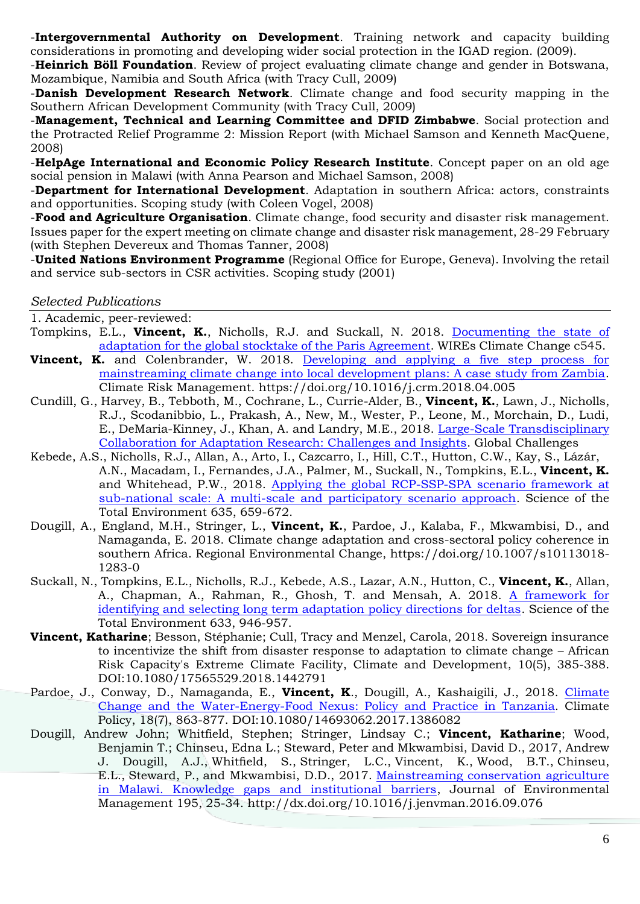-**Intergovernmental Authority on Development**. Training network and capacity building considerations in promoting and developing wider social protection in the IGAD region. (2009).

-**Heinrich Böll Foundation**. Review of project evaluating climate change and gender in Botswana, Mozambique, Namibia and South Africa (with Tracy Cull, 2009)

-**Danish Development Research Network**. Climate change and food security mapping in the Southern African Development Community (with Tracy Cull, 2009)

-**Management, Technical and Learning Committee and DFID Zimbabwe**. Social protection and the Protracted Relief Programme 2: Mission Report (with Michael Samson and Kenneth MacQuene, 2008)

-**HelpAge International and Economic Policy Research Institute**. Concept paper on an old age social pension in Malawi (with Anna Pearson and Michael Samson, 2008)

-**Department for International Development**. Adaptation in southern Africa: actors, constraints and opportunities. Scoping study (with Coleen Vogel, 2008)

-**Food and Agriculture Organisation**. Climate change, food security and disaster risk management. Issues paper for the expert meeting on climate change and disaster risk management, 28-29 February (with Stephen Devereux and Thomas Tanner, 2008)

-**United Nations Environment Programme** (Regional Office for Europe, Geneva). Involving the retail and service sub-sectors in CSR activities. Scoping study (2001)

*Selected Publications*

1. Academic, peer-reviewed:

- Tompkins, E.L., **Vincent, K.**, Nicholls, R.J. and Suckall, N. 2018. [Documenting the state of](http://kulima.com/wp-content/uploads/2018/07/Tompkins-et-al-18-Documenting-the-state-of-adaptation-for-the-global-stocktake-of-the-Paris-Agreement.pdf)  [adaptation for the global stocktake of the Paris Agreement.](http://kulima.com/wp-content/uploads/2018/07/Tompkins-et-al-18-Documenting-the-state-of-adaptation-for-the-global-stocktake-of-the-Paris-Agreement.pdf) WIREs Climate Change c545.
- **Vincent, K.** and Colenbrander, W. 2018. Developing and applying a five step process for [mainstreaming climate change into local development plans: A case study from Zambia.](http://kulima.com/wp-content/uploads/2018/05/Vincent-and-Colenbrander-18-developing-and-applying-a-5-step-process-for-mainstreaming-climate-change-into-development-plans.pdf) Climate Risk Management. https://doi.org/10.1016/j.crm.2018.04.005
- Cundill, G., Harvey, B., Tebboth, M., Cochrane, L., Currie-Alder, B., **Vincent, K.**, Lawn, J., Nicholls, R.J., Scodanibbio, L., Prakash, A., New, M., Wester, P., Leone, M., Morchain, D., Ludi, E., DeMaria-Kinney, J., Khan, A. and Landry, M.E., 2018. [Large-Scale Transdisciplinary](https://onlinelibrary.wiley.com/doi/full/10.1002/gch2.201700132)  [Collaboration for Adaptation Research: Challenges and Insights.](https://onlinelibrary.wiley.com/doi/full/10.1002/gch2.201700132) Global Challenges
- Kebede, A.S., Nicholls, R.J., Allan, A., Arto, I., Cazcarro, I., Hill, C.T., Hutton, C.W., Kay, S., Lázár, A.N., Macadam, I., Fernandes, J.A., Palmer, M., Suckall, N., Tompkins, E.L., **Vincent, K.** and Whitehead, P.W., 2018. [Applying the global RCP-SSP-SPA scenario framework at](https://www.sciencedirect.com/science/article/pii/S0048969718311276) [sub-national scale: A multi-scale and participatory scenario approach.](https://www.sciencedirect.com/science/article/pii/S0048969718311276) Science of the Total Environment 635, 659-672.
- Dougill, A., England, M.H., Stringer, L., **Vincent, K.**, Pardoe, J., Kalaba, F., Mkwambisi, D., and Namaganda, E. 2018. Climate change adaptation and cross-sectoral policy coherence in southern Africa. Regional Environmental Change, https://doi.org/10.1007/s10113018- 1283-0
- Suckall, N., Tompkins, E.L., Nicholls, R.J., Kebede, A.S., Lazar, A.N., Hutton, C., **Vincent, K.**, Allan, A., Chapman, A., Rahman, R., Ghosh, T. and Mensah, A. 2018. [A framework for](https://doi.org/10.1016/j.scitotenv.2018.03.234)  [identifying and selecting long term adaptation policy directions for deltas.](https://doi.org/10.1016/j.scitotenv.2018.03.234) Science of the Total Environment 633, 946-957.
- **Vincent, Katharine**; Besson, Stéphanie; Cull, Tracy and Menzel, Carola, 2018. Sovereign insurance to incentivize the shift from disaster response to adaptation to climate change – African Risk Capacity's Extreme Climate Facility, Climate and Development, 10(5), 385-388. DOI:10.1080/17565529.2018.1442791
- Pardoe, J., Conway, D., Namaganda, E., **Vincent, K**., Dougill, A., Kashaigili, J., 2018. [Climate](http://www.tandfonline.com/doi/full/10.1080/14693062.2017.1386082)  [Change and the Water-Energy-Food Nexus: Policy and Practice in Tanzania.](http://www.tandfonline.com/doi/full/10.1080/14693062.2017.1386082) Climate Policy, 18(7), 863-877. DOI:10.1080/14693062.2017.1386082
- Dougill, Andrew John; Whitfield, Stephen; Stringer, Lindsay C.; **Vincent, Katharine**; Wood, Benjamin T.; Chinseu, Edna L.; Steward, Peter and Mkwambisi, David D., 2017, Andrew J. Dougill, A.J., Whitfield, S., Stringer, L.C., Vincent, K., Wood, B.T., Chinseu, E.L., Steward, P., and Mkwambisi, D.D., 2017. [Mainstreaming conservation agriculture](http://kulima.com/wp-content/uploads/2011/03/Dougill-et-al-17-Mainstreaming-conservation-agriculture-in-Malawi.pdf)  [in Malawi. Knowledge gaps and institutional barriers,](http://kulima.com/wp-content/uploads/2011/03/Dougill-et-al-17-Mainstreaming-conservation-agriculture-in-Malawi.pdf) Journal of Environmental Management 195, 25-34. http://dx.doi.org/10.1016/j.jenvman.2016.09.076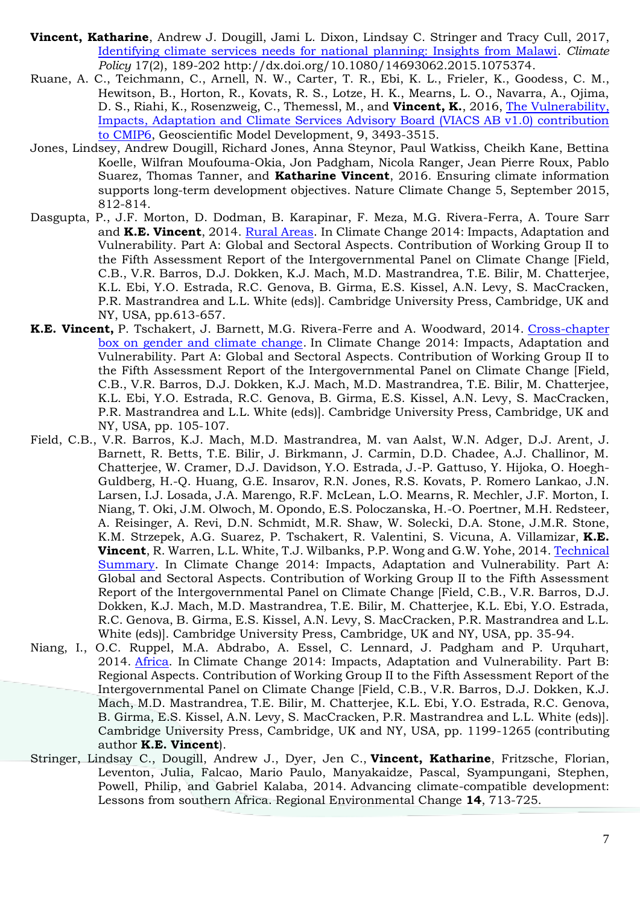- **Vincent, Katharine**, Andrew J. Dougill, Jami L. Dixon, Lindsay C. Stringer and Tracy Cull, 2017, [Identifying climate services needs for national planning: Insights from Malawi.](http://www.tandfonline.com/doi/full/10.1080/14693062.2015.1075374) *Climate Policy* 17(2), 189-202 http://dx.doi.org/10.1080/14693062.2015.1075374.
- Ruane, A. C., Teichmann, C., Arnell, N. W., Carter, T. R., Ebi, K. L., Frieler, K., Goodess, C. M., Hewitson, B., Horton, R., Kovats, R. S., Lotze, H. K., Mearns, L. O., Navarra, A., Ojima, D. S., Riahi, K., Rosenzweig, C., Themessl, M., and **Vincent, K.**, 2016, [The Vulnerability,](http://www.geosci-model-dev.net/9/3493/2016/gmd-9-3493-2016.html)  [Impacts, Adaptation and Climate Services Advisory Board \(VIACS AB v1.0\) contribution](http://www.geosci-model-dev.net/9/3493/2016/gmd-9-3493-2016.html)  [to CMIP6,](http://www.geosci-model-dev.net/9/3493/2016/gmd-9-3493-2016.html) Geoscientific Model Development, 9, 3493-3515.
- Jones, Lindsey, Andrew Dougill, Richard Jones, Anna Steynor, Paul Watkiss, Cheikh Kane, Bettina Koelle, Wilfran Moufouma-Okia, Jon Padgham, Nicola Ranger, Jean Pierre Roux, Pablo Suarez, Thomas Tanner, and **Katharine Vincent**, 2016. Ensuring climate information supports long-term development objectives. Nature Climate Change 5, September 2015, 812-814.
- Dasgupta, P., J.F. Morton, D. Dodman, B. Karapinar, F. Meza, M.G. Rivera-Ferra, A. Toure Sarr and **K.E. Vincent**, 2014. [Rural Areas.](http://ipcc-wg2.gov/AR5/images/uploads/WGIIAR5-Chap9_FINAL.pdf) In Climate Change 2014: Impacts, Adaptation and Vulnerability. Part A: Global and Sectoral Aspects. Contribution of Working Group II to the Fifth Assessment Report of the Intergovernmental Panel on Climate Change [Field, C.B., V.R. Barros, D.J. Dokken, K.J. Mach, M.D. Mastrandrea, T.E. Bilir, M. Chatterjee, K.L. Ebi, Y.O. Estrada, R.C. Genova, B. Girma, E.S. Kissel, A.N. Levy, S. MacCracken, P.R. Mastrandrea and L.L. White (eds)]. Cambridge University Press, Cambridge, UK and NY, USA, pp.613-657.
- **K.E. Vincent,** P. Tschakert, J. Barnett, M.G. Rivera-Ferre and A. Woodward, 2014. [Cross-chapter](http://kulima.com/wp-content/uploads/2011/03/Cross-chapter-box-on-gender-and-climate-change.pdf)  [box on gender and climate change.](http://kulima.com/wp-content/uploads/2011/03/Cross-chapter-box-on-gender-and-climate-change.pdf) In Climate Change 2014: Impacts, Adaptation and Vulnerability. Part A: Global and Sectoral Aspects. Contribution of Working Group II to the Fifth Assessment Report of the Intergovernmental Panel on Climate Change [Field, C.B., V.R. Barros, D.J. Dokken, K.J. Mach, M.D. Mastrandrea, T.E. Bilir, M. Chatterjee, K.L. Ebi, Y.O. Estrada, R.C. Genova, B. Girma, E.S. Kissel, A.N. Levy, S. MacCracken, P.R. Mastrandrea and L.L. White (eds)]. Cambridge University Press, Cambridge, UK and NY, USA, pp. 105-107.
- Field, C.B., V.R. Barros, K.J. Mach, M.D. Mastrandrea, M. van Aalst, W.N. Adger, D.J. Arent, J. Barnett, R. Betts, T.E. Bilir, J. Birkmann, J. Carmin, D.D. Chadee, A.J. Challinor, M. Chatterjee, W. Cramer, D.J. Davidson, Y.O. Estrada, J.-P. Gattuso, Y. Hijoka, O. Hoegh-Guldberg, H.-Q. Huang, G.E. Insarov, R.N. Jones, R.S. Kovats, P. Romero Lankao, J.N. Larsen, I.J. Losada, J.A. Marengo, R.F. McLean, L.O. Mearns, R. Mechler, J.F. Morton, I. Niang, T. Oki, J.M. Olwoch, M. Opondo, E.S. Poloczanska, H.-O. Poertner, M.H. Redsteer, A. Reisinger, A. Revi, D.N. Schmidt, M.R. Shaw, W. Solecki, D.A. Stone, J.M.R. Stone, K.M. Strzepek, A.G. Suarez, P. Tschakert, R. Valentini, S. Vicuna, A. Villamizar, **K.E. Vincent**, R. Warren, L.L. White, T.J. Wilbanks, P.P. Wong and G.W. Yohe, 2014. [Technical](http://ipcc-wg2.gov/AR5/images/uploads/WGIIAR5-TS_FINAL.pdf)  [Summary.](http://ipcc-wg2.gov/AR5/images/uploads/WGIIAR5-TS_FINAL.pdf) In Climate Change 2014: Impacts, Adaptation and Vulnerability. Part A: Global and Sectoral Aspects. Contribution of Working Group II to the Fifth Assessment Report of the Intergovernmental Panel on Climate Change [Field, C.B., V.R. Barros, D.J. Dokken, K.J. Mach, M.D. Mastrandrea, T.E. Bilir, M. Chatterjee, K.L. Ebi, Y.O. Estrada, R.C. Genova, B. Girma, E.S. Kissel, A.N. Levy, S. MacCracken, P.R. Mastrandrea and L.L. White (eds)]. Cambridge University Press, Cambridge, UK and NY, USA, pp. 35-94.
- Niang, I., O.C. Ruppel, M.A. Abdrabo, A. Essel, C. Lennard, J. Padgham and P. Urquhart, 2014. [Africa.](http://ipcc-wg2.gov/AR5/images/uploads/WGIIAR5-Chap22_FINAL.pdf) In Climate Change 2014: Impacts, Adaptation and Vulnerability. Part B: Regional Aspects. Contribution of Working Group II to the Fifth Assessment Report of the Intergovernmental Panel on Climate Change [Field, C.B., V.R. Barros, D.J. Dokken, K.J. Mach, M.D. Mastrandrea, T.E. Bilir, M. Chatterjee, K.L. Ebi, Y.O. Estrada, R.C. Genova, B. Girma, E.S. Kissel, A.N. Levy, S. MacCracken, P.R. Mastrandrea and L.L. White (eds)]. Cambridge University Press, Cambridge, UK and NY, USA, pp. 1199-1265 (contributing author **K.E. Vincent**).
- Stringer, Lindsay C., Dougill, Andrew J., Dyer, Jen C., **Vincent, Katharine**, Fritzsche, Florian, Leventon, Julia, Falcao, Mario Paulo, Manyakaidze, Pascal, Syampungani, Stephen, Powell, Philip, and Gabriel Kalaba, 2014. Advancing climate-compatible development: Lessons from southern Africa. Regional Environmental Change **14**, 713-725.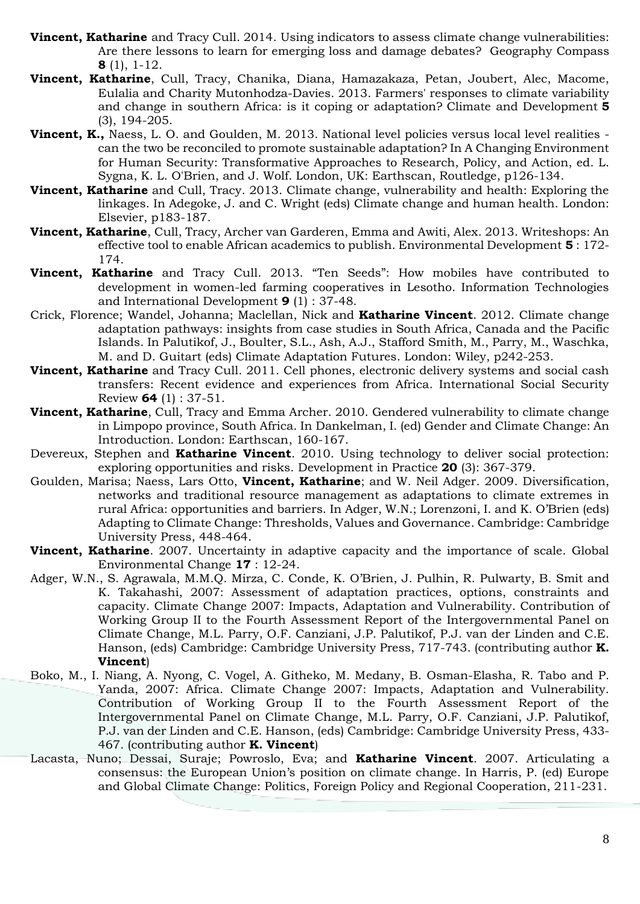- **Vincent, Katharine** and Tracy Cull. 2014. Using indicators to assess climate change vulnerabilities: Are there lessons to learn for emerging loss and damage debates? Geography Compass **8** (1), 1-12.
- **Vincent, Katharine**, Cull, Tracy, Chanika, Diana, Hamazakaza, Petan, Joubert, Alec, Macome, Eulalia and Charity Mutonhodza-Davies. 2013. Farmers' responses to climate variability and change in southern Africa: is it coping or adaptation? Climate and Development **5** (3), 194-205.
- Vincent, K., Naess, L. O. and Goulden, M. 2013. National level policies versus local level realities can the two be reconciled to promote sustainable adaptation? In A Changing Environment for Human Security: Transformative Approaches to Research, Policy, and Action, ed. L. Sygna, K. L. O'Brien, and J. Wolf. London, UK: Earthscan, Routledge, p126-134.
- **Vincent, Katharine** and Cull, Tracy. 2013. Climate change, vulnerability and health: Exploring the linkages. In Adegoke, J. and C. Wright (eds) Climate change and human health. London: Elsevier, p183-187.
- **Vincent, Katharine**, Cull, Tracy, Archer van Garderen, Emma and Awiti, Alex. 2013. Writeshops: An effective tool to enable African academics to publish. Environmental Development **5** : 172- 174.
- **Vincent, Katharine** and Tracy Cull. 2013. "Ten Seeds": How mobiles have contributed to development in women-led farming cooperatives in Lesotho. Information Technologies and International Development **9** (1) : 37-48.
- Crick, Florence; Wandel, Johanna; Maclellan, Nick and **Katharine Vincent**. 2012. Climate change adaptation pathways: insights from case studies in South Africa, Canada and the Pacific Islands. In Palutikof, J., Boulter, S.L., Ash, A.J., Stafford Smith, M., Parry, M., Waschka, M. and D. Guitart (eds) Climate Adaptation Futures. London: Wiley, p242-253.
- **Vincent, Katharine** and Tracy Cull. 2011. Cell phones, electronic delivery systems and social cash transfers: Recent evidence and experiences from Africa. International Social Security Review **64** (1) : 37-51.
- **Vincent, Katharine**, Cull, Tracy and Emma Archer. 2010. Gendered vulnerability to climate change in Limpopo province, South Africa. In Dankelman, I. (ed) Gender and Climate Change: An Introduction. London: Earthscan, 160-167.
- Devereux, Stephen and **Katharine Vincent**. 2010. Using technology to deliver social protection: exploring opportunities and risks. Development in Practice **20** (3): 367-379.
- Goulden, Marisa; Naess, Lars Otto, **Vincent, Katharine**; and W. Neil Adger. 2009. Diversification, networks and traditional resource management as adaptations to climate extremes in rural Africa: opportunities and barriers. In Adger, W.N.; Lorenzoni, I. and K. O'Brien (eds) Adapting to Climate Change: Thresholds, Values and Governance. Cambridge: Cambridge University Press, 448-464.
- **Vincent, Katharine**. 2007. Uncertainty in adaptive capacity and the importance of scale. Global Environmental Change **17** : 12-24.
- Adger, W.N., S. Agrawala, M.M.Q. Mirza, C. Conde, K. O'Brien, J. Pulhin, R. Pulwarty, B. Smit and K. Takahashi, 2007: Assessment of adaptation practices, options, constraints and capacity. Climate Change 2007: Impacts, Adaptation and Vulnerability. Contribution of Working Group II to the Fourth Assessment Report of the Intergovernmental Panel on Climate Change, M.L. Parry, O.F. Canziani, J.P. Palutikof, P.J. van der Linden and C.E. Hanson, (eds) Cambridge: Cambridge University Press, 717-743. (contributing author **K. Vincent**)
- Boko, M., I. Niang, A. Nyong, C. Vogel, A. Githeko, M. Medany, B. Osman-Elasha, R. Tabo and P. Yanda, 2007: Africa. Climate Change 2007: Impacts, Adaptation and Vulnerability. Contribution of Working Group II to the Fourth Assessment Report of the Intergovernmental Panel on Climate Change, M.L. Parry, O.F. Canziani, J.P. Palutikof, P.J. van der Linden and C.E. Hanson, (eds) Cambridge: Cambridge University Press, 433- 467. (contributing author **K. Vincent**)
- Lacasta, Nuno; Dessai, Suraje; Powroslo, Eva; and **Katharine Vincent**. 2007. Articulating a consensus: the European Union's position on climate change. In Harris, P. (ed) Europe and Global Climate Change: Politics, Foreign Policy and Regional Cooperation, 211-231.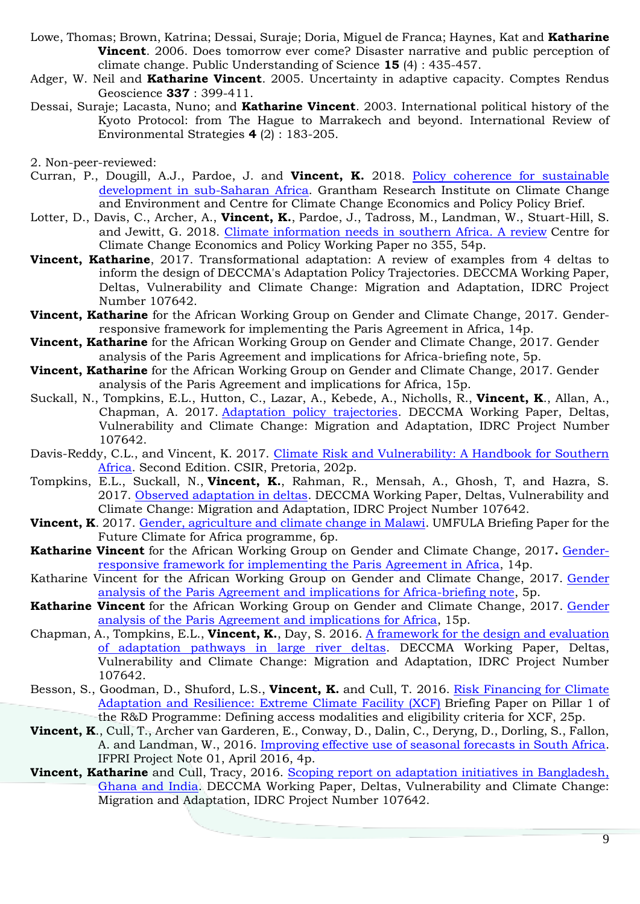- Lowe, Thomas; Brown, Katrina; Dessai, Suraje; Doria, Miguel de Franca; Haynes, Kat and **Katharine Vincent**. 2006. Does tomorrow ever come? Disaster narrative and public perception of climate change. Public Understanding of Science **15** (4) : 435-457.
- Adger, W. Neil and **Katharine Vincent**. 2005. Uncertainty in adaptive capacity. Comptes Rendus Geoscience **337** : 399-411.
- Dessai, Suraje; Lacasta, Nuno; and **Katharine Vincent**. 2003. International political history of the Kyoto Protocol: from The Hague to Marrakech and beyond. International Review of Environmental Strategies **4** (2) : 183-205.

2. Non-peer-reviewed:

- Curran, P., Dougill, A.J., Pardoe, J. and **Vincent, K.** 2018. [Policy coherence for sustainable](http://kulima.com/wp-content/uploads/2018/08/policy-coherence-brief-final.pdf)  [development in sub-Saharan Africa.](http://kulima.com/wp-content/uploads/2018/08/policy-coherence-brief-final.pdf) Grantham Research Institute on Climate Change and Environment and Centre for Climate Change Economics and Policy Policy Brief.
- Lotter, D., Davis, C., Archer, A., **Vincent, K.**, Pardoe, J., Tadross, M., Landman, W., Stuart-Hill, S. and Jewitt, G. 2018. [Climate information needs in southern Africa. A review](http://kulima.com/wp-content/uploads/2018/07/Lotter-et-al-18-Climate-information-needs-in-southern-Africa.pdf) Centre for Climate Change Economics and Policy Working Paper no 355, 54p.
- **Vincent, Katharine**, 2017. Transformational adaptation: A review of examples from 4 deltas to inform the design of DECCMA's Adaptation Policy Trajectories. DECCMA Working Paper, Deltas, Vulnerability and Climate Change: Migration and Adaptation, IDRC Project Number 107642.
- **Vincent, Katharine** for the African Working Group on Gender and Climate Change, 2017. Genderresponsive framework for implementing the Paris Agreement in Africa, 14p.
- **Vincent, Katharine** for the African Working Group on Gender and Climate Change, 2017. Gender analysis of the Paris Agreement and implications for Africa-briefing note, 5p.
- **Vincent, Katharine** for the African Working Group on Gender and Climate Change, 2017. Gender analysis of the Paris Agreement and implications for Africa, 15p.
- Suckall, N., Tompkins, E.L., Hutton, C., Lazar, A., Kebede, A., Nicholls, R., **Vincent, K**., Allan, A., Chapman, A. 2017. [Adaptation policy trajectories.](http://generic.wordpress.soton.ac.uk/deccma/wp-content/uploads/sites/181/2017/10/adaptation-policy-trajectories_working-paper.pdf) DECCMA Working Paper, Deltas, Vulnerability and Climate Change: Migration and Adaptation, IDRC Project Number 107642.
- Davis-Reddy, C.L., and Vincent, K. 2017. [Climate Risk and Vulnerability: A Handbook for Southern](http://www.kulima.com/SADC)  [Africa.](http://www.kulima.com/SADC) Second Edition. CSIR, Pretoria, 202p.
- Tompkins, E.L., Suckall, N., **Vincent, K.**, Rahman, R., Mensah, A., Ghosh, T, and Hazra, S. 2017. [Observed adaptation in deltas.](http://kulima.com/wp-content/uploads/2011/03/Observed-adaptation-in-deltas.pdf) DECCMA Working Paper, Deltas, Vulnerability and Climate Change: Migration and Adaptation, IDRC Project Number 107642.
- **Vincent, K**. 2017. [Gender, agriculture and climate change in Malawi.](http://kulima.com/wp-content/uploads/2011/03/Gender-agriculture-climate-services-brief-UMFULA-final.pdf) UMFULA Briefing Paper for the Future Climate for Africa programme, 6p.
- **Katharine Vincent** for the African Working Group on Gender and Climate Change, 2017**.** [Gender](http://hdl.handle.net/10625/56477)[responsive framework for implementing the Paris Agreement in Africa,](http://hdl.handle.net/10625/56477) 14p.
- Katharine Vincent for the African Working Group on Gender and Climate Change, 2017. [Gender](http://hdl.handle.net/10625/56478)  [analysis of the Paris Agreement and implications for Africa-briefing note,](http://hdl.handle.net/10625/56478) 5p.
- **Katharine Vincent** for the African Working Group on Gender and Climate Change, 2017. [Gender](http://hdl.handle.net/10625/56476)  [analysis of the Paris Agreement and implications for Africa,](http://hdl.handle.net/10625/56476) 15p.
- Chapman, A., Tompkins, E.L., **Vincent, K.**, Day, S. 2016. [A framework for the design and evaluation](http://www.geodata.soton.ac.uk/deccma/uploads_working_papers/A_framework_for_the_design_and_evaluation_of_adaptation_pathways_in_large_river_deltas_FINAL_20160926_114823.pdf)  [of adaptation pathways in large river deltas.](http://www.geodata.soton.ac.uk/deccma/uploads_working_papers/A_framework_for_the_design_and_evaluation_of_adaptation_pathways_in_large_river_deltas_FINAL_20160926_114823.pdf) DECCMA Working Paper, Deltas, Vulnerability and Climate Change: Migration and Adaptation, IDRC Project Number 107642.
- Besson, S., Goodman, D., Shuford, L.S., **Vincent, K.** and Cull, T. 2016. [Risk Financing for Climate](http://kulima.com/wp-content/uploads/2011/03/Briefing-paper-Risk-Financing-for-Climate-Adaptation-and-Resilience_07092016_final.pdf)  [Adaptation and Resilience: Extreme Climate Facility \(XCF\)](http://kulima.com/wp-content/uploads/2011/03/Briefing-paper-Risk-Financing-for-Climate-Adaptation-and-Resilience_07092016_final.pdf) Briefing Paper on Pillar 1 of the R&D Programme: Defining access modalities and eligibility criteria for XCF, 25p.
- **Vincent, K**., Cull, T., Archer van Garderen, E., Conway, D., Dalin, C., Deryng, D., Dorling, S., Fallon, A. and Landman, W., 2016. [Improving effective use of seasonal forecasts in South Africa.](https://www.ifpri.org/publication/improving-effective-use-seasonal-forecasts-south-africa) IFPRI Project Note 01, April 2016, 4p.
- **Vincent, Katharine** and Cull, Tracy, 2016. [Scoping report on adaptation initiatives in Bangladesh,](http://www.geodata.soton.ac.uk/deccma/uploads_working_papers/D6_6_1_Adaptation_finance_initiatives_in_Bangladesh_Ghana_India_final_20160324_084615.pdf)  [Ghana and India.](http://www.geodata.soton.ac.uk/deccma/uploads_working_papers/D6_6_1_Adaptation_finance_initiatives_in_Bangladesh_Ghana_India_final_20160324_084615.pdf) DECCMA Working Paper, Deltas, Vulnerability and Climate Change: Migration and Adaptation, IDRC Project Number 107642.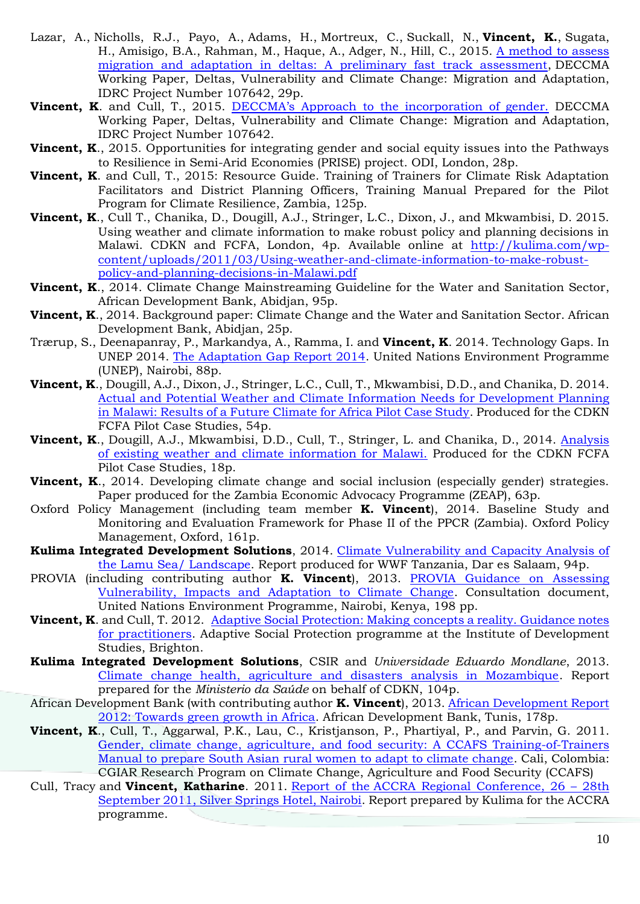- Lazar, A., Nicholls, R.J., Payo, A., Adams, H., Mortreux, C., Suckall, N., **Vincent, K.**, Sugata, H., Amisigo, B.A., Rahman, M., Haque, A., Adger, N., Hill, C., 2015. A method to assess [migration and adaptation in deltas: A preliminary fast track assessment,](http://kulima.com/wp-content/uploads/2011/03/Lazar-et-al-15-WP5_Fast_Track_Report_2015.pdf) DECCMA Working Paper, Deltas, Vulnerability and Climate Change: Migration and Adaptation, IDRC Project Number 107642, 29p.
- **Vincent, K**. and Cull, T., 2015. [DECCMA's Approach to the incorporation of gender.](http://www.deccma.com/) DECCMA Working Paper, Deltas, Vulnerability and Climate Change: Migration and Adaptation, IDRC Project Number 107642.
- **Vincent, K.**, 2015. Opportunities for integrating gender and social equity issues into the Pathways to Resilience in Semi-Arid Economies (PRISE) project. ODI, London, 28p.
- **Vincent, K.** and Cull, T., 2015: Resource Guide. Training of Trainers for Climate Risk Adaptation Facilitators and District Planning Officers, Training Manual Prepared for the Pilot Program for Climate Resilience, Zambia, 125p.
- **Vincent, K**., Cull T., Chanika, D., Dougill, A.J., Stringer, L.C., Dixon, J., and Mkwambisi, D. 2015. Using weather and climate information to make robust policy and planning decisions in Malawi. CDKN and FCFA, London, 4p. Available online at [http://kulima.com/wp](http://kulima.com/wp-content/uploads/2011/03/Using-weather-and-climate-information-to-make-robust-policy-and-planning-decisions-in-Malawi.pdf)[content/uploads/2011/03/Using-weather-and-climate-information-to-make-robust](http://kulima.com/wp-content/uploads/2011/03/Using-weather-and-climate-information-to-make-robust-policy-and-planning-decisions-in-Malawi.pdf)[policy-and-planning-decisions-in-Malawi.pdf](http://kulima.com/wp-content/uploads/2011/03/Using-weather-and-climate-information-to-make-robust-policy-and-planning-decisions-in-Malawi.pdf)
- **Vincent, K**., 2014. Climate Change Mainstreaming Guideline for the Water and Sanitation Sector, African Development Bank, Abidjan, 95p.
- **Vincent, K**., 2014. Background paper: Climate Change and the Water and Sanitation Sector. African Development Bank, Abidjan, 25p.
- Trærup, S., Deenapanray, P., Markandya, A., Ramma, I. and **Vincent, K**. 2014. Technology Gaps. In UNEP 2014. [The Adaptation Gap Report 2014.](http://www.unep.org/climatechange/adaptation/gapreport2014/) United Nations Environment Programme (UNEP), Nairobi, 88p.
- **Vincent, K**., Dougill, A.J., Dixon, J., Stringer, L.C., Cull, T., Mkwambisi, D.D., and Chanika, D. 2014. [Actual and Potential Weather and Climate Information Needs for Development Planning](http://kulima.com/wp-content/uploads/2011/03/Actual-and-Potential-Weather-and-Climate-Information-Needs-for-Development-Planning-in-Malawi.-Results-of-a-Future-Climate-for-Africa-Pilot-Case-Study.pdf)  [in Malawi: Results of a Future Climate for Africa Pilot Case Study.](http://kulima.com/wp-content/uploads/2011/03/Actual-and-Potential-Weather-and-Climate-Information-Needs-for-Development-Planning-in-Malawi.-Results-of-a-Future-Climate-for-Africa-Pilot-Case-Study.pdf) Produced for the CDKN FCFA Pilot Case Studies, 54p.
- **Vincent, K**., Dougill, A.J., Mkwambisi, D.D., Cull, T., Stringer, L. and Chanika, D., 2014. [Analysis](http://kulima.com/wp-content/uploads/2011/03/Analysis-of-existing-weather-and-climate-information-for-Malawi-final-with-disclaimer.pdf)  [of existing weather and climate information for Malawi.](http://kulima.com/wp-content/uploads/2011/03/Analysis-of-existing-weather-and-climate-information-for-Malawi-final-with-disclaimer.pdf) Produced for the CDKN FCFA Pilot Case Studies, 18p.
- **Vincent, K**., 2014. Developing climate change and social inclusion (especially gender) strategies. Paper produced for the Zambia Economic Advocacy Programme (ZEAP), 63p.
- Oxford Policy Management (including team member **K. Vincent**), 2014. Baseline Study and Monitoring and Evaluation Framework for Phase II of the PPCR (Zambia). Oxford Policy Management, Oxford, 161p.
- **Kulima Integrated Development Solutions**, 2014. [Climate Vulnerability and Capacity Analysis of](http://kulima.com/wp-content/uploads/2011/03/Climate-Vulnerability-and-Capacity-Analysis-of-the-Lamu-Sea-Landscape.pdf)  [the Lamu Sea/ Landscape.](http://kulima.com/wp-content/uploads/2011/03/Climate-Vulnerability-and-Capacity-Analysis-of-the-Lamu-Sea-Landscape.pdf) Report produced for WWF Tanzania, Dar es Salaam, 94p.
- PROVIA (including contributing author **K. Vincent**), 2013. [PROVIA Guidance on Assessing](http://www.unep.org/provia/%20RESOURCES/Publications/%20PROVIAGuidancereport/tabid/130752/%20Default.aspx)  [Vulnerability, Impacts and Adaptation to Climate Change.](http://www.unep.org/provia/%20RESOURCES/Publications/%20PROVIAGuidancereport/tabid/130752/%20Default.aspx) Consultation document, United Nations Environment Programme, Nairobi, Kenya, 198 pp.
- **Vincent, K**. and Cull, T. 2012. [Adaptive Social Protection: Making](http://www.ids.ac.uk/files/dmfile/ASPGuidanceNotes_FINAL.pdf) concepts a reality. Guidance notes [for practitioners.](http://www.ids.ac.uk/files/dmfile/ASPGuidanceNotes_FINAL.pdf) Adaptive Social Protection programme at the Institute of Development Studies, Brighton.
- **Kulima Integrated Development Solutions**, CSIR and *Universidade Eduardo Mondlane*, 2013. [Climate change health, agriculture and disasters analysis in Mozambique.](http://cdkn.org/wp-content/uploads/2012/06/Climate-Change-Health-Agriculture-and-Disaster-Analysis-for-Mozambique-FINAL-REPORT.pdf) Report prepared for the *Ministerio da Saúde* on behalf of CDKN, 104p.
- African Development Bank (with contributing author **K. Vincent**), 2013. [African Development Report](http://www.greengrowthknowledge.org/resource/african-development-report-2012-towards-green-growth-africa)  [2012: Towards green growth in Africa.](http://www.greengrowthknowledge.org/resource/african-development-report-2012-towards-green-growth-africa) African Development Bank, Tunis, 178p.
- **Vincent, K**., Cull, T., Aggarwal, P.K., Lau, C., Kristjanson, P., Phartiyal, P., and Parvin, G. 2011. [Gender, climate change, agriculture, and food security: A CCAFS Training-of-Trainers](http://hdl.handle.net/10568/33344)  [Manual to prepare South Asian rural women to adapt to climate change.](http://hdl.handle.net/10568/33344) Cali, Colombia: CGIAR Research Program on Climate Change, Agriculture and Food Security (CCAFS)
- Cull, Tracy and **Vincent, Katharine**. 2011. Report of the [ACCRA Regional Conference, 26](http://community.eldis.org/.5a412d63/ACCRA%20Regional%20Conference%20workshop%20report_Final_English.pdf)  28th [September 2011, Silver Springs Hotel, Nairobi.](http://community.eldis.org/.5a412d63/ACCRA%20Regional%20Conference%20workshop%20report_Final_English.pdf) Report prepared by Kulima for the ACCRA programme.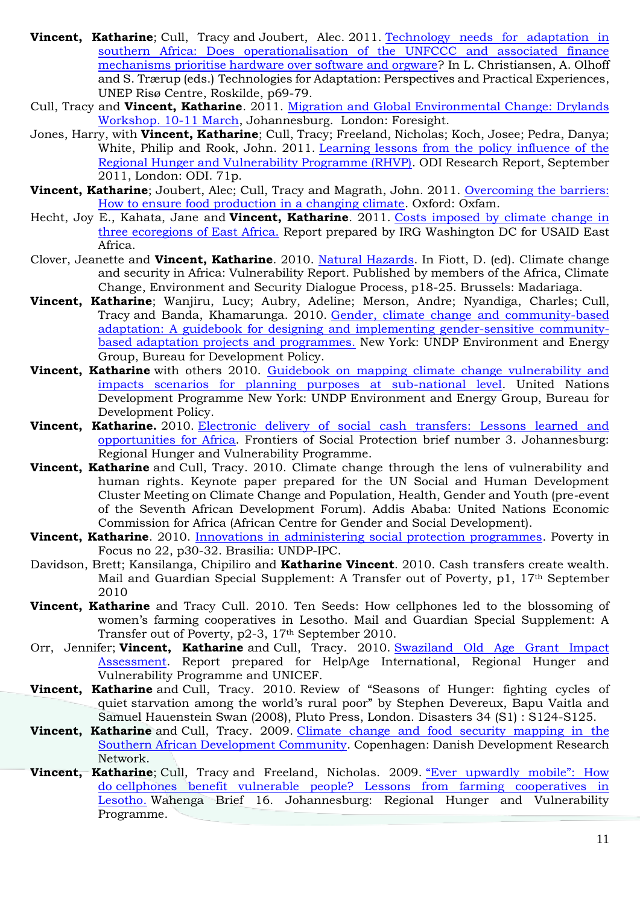- **Vincent, Katharine**; Cull, Tracy and Joubert, Alec. 2011. Technology needs for adaptation in [southern Africa: Does operationalisation of the UNFCCC and associated finance](http://www.tech-action.org/Perspectives/TechnologiesAdaptation_PerspectivesExperiences.pdf)  [mechanisms prioritise hardware over software and orgware?](http://www.tech-action.org/Perspectives/TechnologiesAdaptation_PerspectivesExperiences.pdf) In L. Christiansen, A. Olhoff and S. Trærup (eds.) Technologies for Adaptation: Perspectives and Practical Experiences, UNEP Risø Centre, Roskilde, p69-79.
- Cull, Tracy and **Vincent, Katharine**. 2011. [Migration and Global Environmental Change: Drylands](http://kulima.com/wp-content/uploads/2011/03/11-1332-wr2-drylands-workshop.pdf)  [Workshop. 10-11 March,](http://kulima.com/wp-content/uploads/2011/03/11-1332-wr2-drylands-workshop.pdf) Johannesburg. London: Foresight.
- Jones, Harry, with **Vincent, Katharine**; Cull, Tracy; Freeland, Nicholas; Koch, Josee; Pedra, Danya; White, Philip and Rook, John. 2011. [Learning lessons from the policy influence of the](http://www.odi.org.uk/resources/docs/7320.pdf)  Regional Hunger and [Vulnerability Programme \(RHVP\).](http://www.odi.org.uk/resources/docs/7320.pdf) ODI Research Report, September 2011, London: ODI. 71p.
- **Vincent, Katharine**; Joubert, Alec; Cull, Tracy and Magrath, John. 2011. [Overcoming the barriers:](http://policy-practice.oxfam.org.uk/publications/overcoming-the-barriers-how-to-ensure-future-food-production-under-climate-chan-188929)  [How to ensure food production in a changing climate.](http://policy-practice.oxfam.org.uk/publications/overcoming-the-barriers-how-to-ensure-future-food-production-under-climate-chan-188929) Oxford: Oxfam.
- Hecht, Joy E., Kahata, Jane and **Vincent, Katharine**. 2011. [Costs imposed by climate change in](http://kulima.com/wp-content/uploads/2011/03/Hecht_Kahata_Vincent_Costs_ClimCh_East_Africa.pdf)  [three ecoregions of East Africa.](http://kulima.com/wp-content/uploads/2011/03/Hecht_Kahata_Vincent_Costs_ClimCh_East_Africa.pdf) Report prepared by IRG Washington DC for USAID East Africa.
- Clover, Jeanette and **Vincent, Katharine**. 2010. [Natural Hazards.](http://www.madariaga.org/publications/reports/409-climate-change-and-security-in-africa-vulnerability-report) In Fiott, D. (ed). Climate change and security in Africa: Vulnerability Report. Published by members of the Africa, Climate Change, Environment and Security Dialogue Process, p18-25. Brussels: Madariaga.
- **Vincent, Katharine**; Wanjiru, Lucy; Aubry, Adeline; Merson, Andre; Nyandiga, Charles; Cull, Tracy and Banda, Khamarunga. 2010. [Gender, climate change and community-based](http://www.kulima.com/wp-content/uploads/2010/12/Gender-Climate-Change-and-Community-Based-Adaptation.pdf)  [adaptation: A guidebook for designing and implementing gender-sensitive community](http://www.kulima.com/wp-content/uploads/2010/12/Gender-Climate-Change-and-Community-Based-Adaptation.pdf)[based adaptation projects and programmes.](http://www.kulima.com/wp-content/uploads/2010/12/Gender-Climate-Change-and-Community-Based-Adaptation.pdf) New York: UNDP Environment and Energy Group, Bureau for Development Policy.
- **Vincent, Katharine** with others 2010. Guidebook on mapping climate change vulnerability and [impacts scenarios for planning purposes at sub-national level.](http://kulima.com/wp-content/uploads/2011/11/f_TACC_Web.pdf) United Nations Development Programme New York: UNDP Environment and Energy Group, Bureau for Development Policy.
- **Vincent, Katharine.** 2010. [Electronic delivery of social cash transfers: Lessons learned and](http://www.wahenga.net/node/1602)  [opportunities for Africa.](http://www.wahenga.net/node/1602) Frontiers of Social Protection brief number 3. Johannesburg: Regional Hunger and Vulnerability Programme.
- **Vincent, Katharine** and Cull, Tracy. 2010. Climate change through the lens of vulnerability and human rights. Keynote paper prepared for the UN Social and Human Development Cluster Meeting on Climate Change and Population, Health, Gender and Youth (pre-event of the Seventh African Development Forum). Addis Ababa: United Nations Economic Commission for Africa (African Centre for Gender and Social Development).
- **Vincent, Katharine**. 2010. Innovations in [administering social protection programmes.](http://www.ipc-undp.org/pub/IPCPovertyInFocus22.pdf) Poverty in Focus no 22, p30-32. Brasilia: UNDP-IPC.
- Davidson, Brett; Kansilanga, Chipiliro and **Katharine Vincent**. 2010. Cash transfers create wealth. Mail and Guardian Special Supplement: A Transfer out of Poverty, p1, 17th September 2010
- **Vincent, Katharine** and Tracy Cull. 2010. Ten Seeds: How cellphones led to the blossoming of women's farming cooperatives in Lesotho. Mail and Guardian Special Supplement: A Transfer out of Poverty, p2-3, 17th September 2010.
- Orr, Jennifer; **Vincent, Katharine** and Cull, Tracy. 2010. [Swaziland Old Age Grant Impact](http://www.kulima.com/wp-content/uploads/2011/03/SwaziOAG_Impact_Assessment_Report-_final-Nov.pdf)  [Assessment.](http://www.kulima.com/wp-content/uploads/2011/03/SwaziOAG_Impact_Assessment_Report-_final-Nov.pdf) Report prepared for HelpAge International, Regional Hunger and Vulnerability Programme and UNICEF.
- **Vincent, Katharine** and Cull, Tracy. 2010. Review of "Seasons of Hunger: fighting cycles of quiet starvation among the world's rural poor" by Stephen Devereux, Bapu Vaitla and Samuel Hauenstein Swan (2008), Pluto Press, London. Disasters 34 (S1) : S124-S125.
- **Vincent, Katharine** and Cull, Tracy. 2009. [Climate change and food security mapping in](http://www.ddrn.dk/filer/forum/File/DDRN_SADC_Climate_Food_overview_rev_2010.pdf) the [Southern African Development Community.](http://www.ddrn.dk/filer/forum/File/DDRN_SADC_Climate_Food_overview_rev_2010.pdf) Copenhagen: Danish Development Research Network.
- **Vincent, Katharine**; Cull, Tracy and Freeland, Nicholas. 2009. "Ever upwardly mobile": How do [cellphones benefit vulnerable people? Lessons from farming cooperatives in](http://www.wahenga.net/sites/default/files/briefs/Brief_16_-_Ever_upwardly_mobile.pdf)  [Lesotho.](http://www.wahenga.net/sites/default/files/briefs/Brief_16_-_Ever_upwardly_mobile.pdf) Wahenga Brief 16. Johannesburg: Regional Hunger and Vulnerability Programme.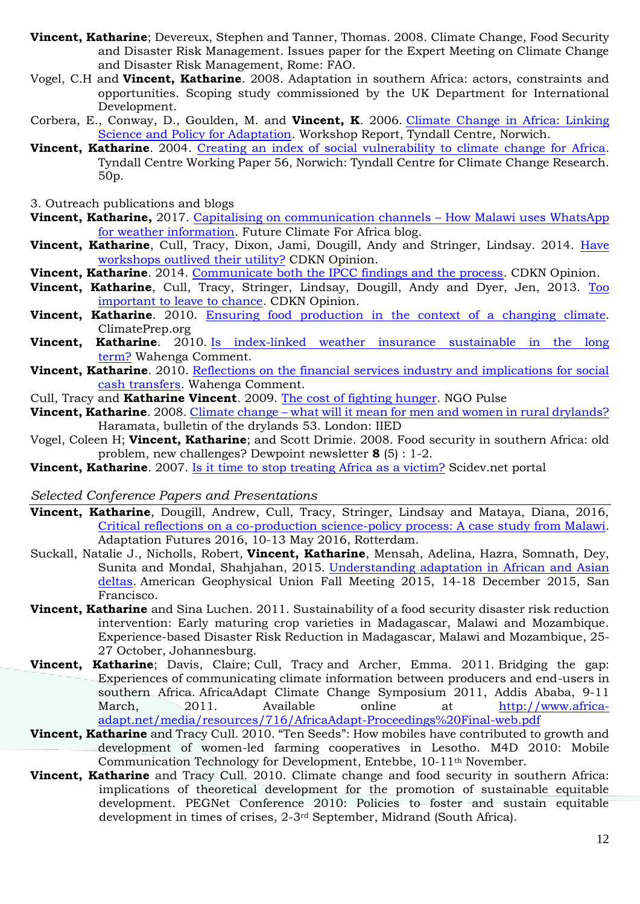- **Vincent, Katharine**; Devereux, Stephen and Tanner, Thomas. 2008. Climate Change, Food Security and Disaster Risk Management. Issues paper for the Expert Meeting on Climate Change and Disaster Risk Management, Rome: FAO.
- Vogel, C.H and **Vincent, Katharine**. 2008. Adaptation in southern Africa: actors, constraints and opportunities. Scoping study commissioned by the UK Department for International Development.
- Corbera, E., Conway, D., Goulden, M. and **Vincent, K**. 2006. [Climate Change in Africa: Linking](http://kulima.com/wp-content/uploads/2011/11/Corbera-et-al-2006-Tyndall-IIED-workshop.pdf)  [Science and Policy for Adaptation.](http://kulima.com/wp-content/uploads/2011/11/Corbera-et-al-2006-Tyndall-IIED-workshop.pdf) Workshop Report, Tyndall Centre, Norwich.
- **Vincent, Katharine**. 2004. Creating an [index of social vulnerability to climate change for Africa.](http://www.tyndall.ac.uk/content/creating-index-social-vulnerability-climate-change-africa) Tyndall Centre Working Paper 56, Norwich: Tyndall Centre for Climate Change Research. 50p.
- 3. Outreach publications and blogs
- **Vincent, Katharine,** 2017. [Capitalising on communication channels](http://www.futureclimateafrica.org/news/blog-capitalising-on-communication-channels-how-malawi-uses-whatsapp-for-climate-information/)  How Malawi uses WhatsApp [for weather information.](http://www.futureclimateafrica.org/news/blog-capitalising-on-communication-channels-how-malawi-uses-whatsapp-for-climate-information/) Future Climate For Africa blog.
- **Vincent, Katharine**, Cull, Tracy, Dixon, Jami, Dougill, Andy and Stringer, Lindsay. 2014. [Have](http://cdkn.org/2014/09/have-workshops-outlived-their-utility/)  [workshops outlived their utility?](http://cdkn.org/2014/09/have-workshops-outlived-their-utility/) CDKN Opinion.
- **Vincent, Katharine**. 2014. [Communicate both the IPCC findings and the process.](http://cdkn.org/2014/04/opinion-communicate-both-the-ipcc-findings-and-the-process/) CDKN Opinion.
- **Vincent, Katharine**, Cull, Tracy, Stringer, Lindsay, Dougill, Andy and Dyer, Jen, 2013. [Too](http://cdkn.org/2013/07/opinion-too-important-to-leave-to-chance-ensuring-that-the-total-impact-of-climate-compatible-development-projects-is-more-than-the-sum-of-the-parts/)  [important to leave to chance.](http://cdkn.org/2013/07/opinion-too-important-to-leave-to-chance-ensuring-that-the-total-impact-of-climate-compatible-development-projects-is-more-than-the-sum-of-the-parts/) CDKN Opinion.
- **Vincent, Katharine**. 2010. [Ensuring food production in the context of a changing climate.](http://www.climateprep.org/2011/12/06/ensuring-food-production-within-a-changing-climate-in-southern-africa/) ClimatePrep.org
- **Vincent, Katharine**. 2010. [Is index-linked weather insurance sustainable in the long](http://www.wahenga.net/node/1919)  [term?](http://www.wahenga.net/node/1919) Wahenga Comment.
- **Vincent, Katharine**. 2010. [Reflections on the financial services industry and implications for social](http://www.wahenga.net/node/1602)  [cash transfers.](http://www.wahenga.net/node/1602) Wahenga Comment.
- Cull, Tracy and **Katharine Vincent**. 2009. [The cost of fighting hunger.](http://www.ngopulse.org/article/cost-fighting-hunger) NGO Pulse
- **Vincent, Katharine**. 2008. Climate change [what will it mean for men and women in rural drylands?](http://www.iied.org/NR/drylands/haramata.html) Haramata, bulletin of the drylands 53. London: IIED
- Vogel, Coleen H; **Vincent, Katharine**; and Scott Drimie. 2008. Food security in southern Africa: old problem, new challenges? Dewpoint newsletter **8** (5) : 1-2.
- **Vincent, Katharine**. 2007. [Is it time to stop treating Africa as a victim?](http://www.scidev.net/en/climate-change-and-energy/opinions/is-it-time-to-stop-treating-africa-as-a-victim.html) Scidev.net portal

#### *Selected Conference Papers and Presentations*

- **Vincent, Katharine**, Dougill, Andrew, Cull, Tracy, Stringer, Lindsay and Mataya, Diana, 2016, [Critical reflections on a co-production science-policy process: A case study from Malawi.](http://library.wur.nl/WebQuery/clc/2169254) Adaptation Futures 2016, 10-13 May 2016, Rotterdam.
- Suckall, Natalie J., Nicholls, Robert, **Vincent, Katharine**, Mensah, Adelina, Hazra, Somnath, Dey, Sunita and Mondal, Shahjahan, 2015. Understanding adaptation in African and Asian [deltas.](https://agu.confex.com/agu/fm15/meetingapp.cgi/Paper/73661) American Geophysical Union Fall Meeting 2015, 14-18 December 2015, San Francisco.
- **Vincent, Katharine** and Sina Luchen. 2011. Sustainability of a food security disaster risk reduction intervention: Early maturing crop varieties in Madagascar, Malawi and Mozambique. Experience-based Disaster Risk Reduction in Madagascar, Malawi and Mozambique, 25- 27 October, Johannesburg.
- **Vincent, Katharine**; Davis, Claire; Cull, Tracy and Archer, Emma. 2011. Bridging the gap: Experiences of communicating climate information between producers and end-users in southern Africa. AfricaAdapt Climate Change Symposium 2011, Addis Ababa, 9-11 March, 2011. Available online at [http://www.africa](http://www.africa-adapt.net/media/resources/716/AfricaAdapt-Proceedings%20Final-web.pdf)[adapt.net/media/resources/716/AfricaAdapt-Proceedings%20Final-web.pdf](http://www.africa-adapt.net/media/resources/716/AfricaAdapt-Proceedings%20Final-web.pdf)
- **Vincent, Katharine** and Tracy Cull. 2010. "Ten Seeds": How mobiles have contributed to growth and development of women-led farming cooperatives in Lesotho. M4D 2010: Mobile Communication Technology for Development, Entebbe, 10-11th November.
- **Vincent, Katharine** and Tracy Cull. 2010. Climate change and food security in southern Africa: implications of theoretical development for the promotion of sustainable equitable development. PEGNet Conference 2010: Policies to foster and sustain equitable development in times of crises, 2-3rd September, Midrand (South Africa).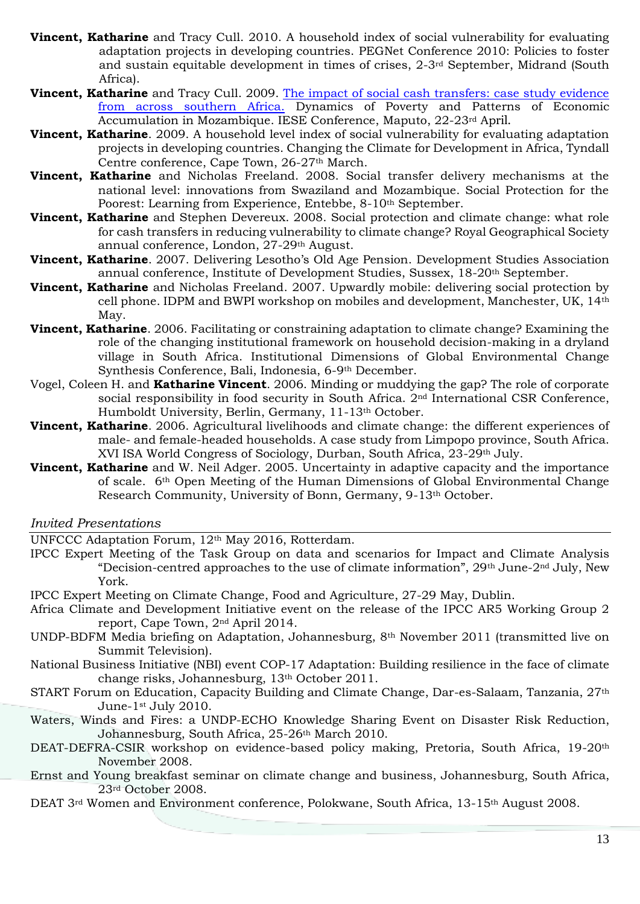- **Vincent, Katharine** and Tracy Cull. 2010. A household index of social vulnerability for evaluating adaptation projects in developing countries. PEGNet Conference 2010: Policies to foster and sustain equitable development in times of crises, 2-3rd September, Midrand (South Africa).
- **Vincent, Katharine** and Tracy Cull. 2009. [The impact of social cash transfers: case study evidence](http://www.iese.ac.mz/lib/publication/II_conf/CP47_2009_Vincent.pdf)  from across [southern Africa.](http://www.iese.ac.mz/lib/publication/II_conf/CP47_2009_Vincent.pdf) Dynamics of Poverty and Patterns of Economic Accumulation in Mozambique. IESE Conference, Maputo, 22-23rd April.
- **Vincent, Katharine**. 2009. A household level index of social vulnerability for evaluating adaptation projects in developing countries. Changing the Climate for Development in Africa, Tyndall Centre conference, Cape Town, 26-27<sup>th</sup> March.
- **Vincent, Katharine** and Nicholas Freeland. 2008. Social transfer delivery mechanisms at the national level: innovations from Swaziland and Mozambique. Social Protection for the Poorest: Learning from Experience, Entebbe, 8-10<sup>th</sup> September.
- **Vincent, Katharine** and Stephen Devereux. 2008. Social protection and climate change: what role for cash transfers in reducing vulnerability to climate change? Royal Geographical Society annual conference, London, 27-29th August.
- **Vincent, Katharine**. 2007. Delivering Lesotho's Old Age Pension. Development Studies Association annual conference, Institute of Development Studies, Sussex, 18-20th September.
- **Vincent, Katharine** and Nicholas Freeland. 2007. Upwardly mobile: delivering social protection by cell phone. IDPM and BWPI workshop on mobiles and development, Manchester, UK, 14th May.
- **Vincent, Katharine**. 2006. Facilitating or constraining adaptation to climate change? Examining the role of the changing institutional framework on household decision-making in a dryland village in South Africa. Institutional Dimensions of Global Environmental Change Synthesis Conference, Bali, Indonesia, 6-9th December.
- Vogel, Coleen H. and **Katharine Vincent**. 2006. Minding or muddying the gap? The role of corporate social responsibility in food security in South Africa. 2<sup>nd</sup> International CSR Conference, Humboldt University, Berlin, Germany, 11-13th October.
- **Vincent, Katharine**. 2006. Agricultural livelihoods and climate change: the different experiences of male- and female-headed households. A case study from Limpopo province, South Africa. XVI ISA World Congress of Sociology, Durban, South Africa, 23-29<sup>th</sup> July.
- **Vincent, Katharine** and W. Neil Adger. 2005. Uncertainty in adaptive capacity and the importance of scale. 6th Open Meeting of the Human Dimensions of Global Environmental Change Research Community, University of Bonn, Germany, 9-13<sup>th</sup> October.

#### *Invited Presentations*

UNFCCC Adaptation Forum, 12<sup>th</sup> May 2016, Rotterdam.

- IPCC Expert Meeting of the Task Group on data and scenarios for Impact and Climate Analysis "Decision-centred approaches to the use of climate information",  $29<sup>th</sup>$  June- $2<sup>nd</sup>$  July, New York.
- IPCC Expert Meeting on Climate Change, Food and Agriculture, 27-29 May, Dublin.
- Africa Climate and Development Initiative event on the release of the IPCC AR5 Working Group 2 report, Cape Town, 2nd April 2014.
- UNDP-BDFM Media briefing on Adaptation, Johannesburg, 8th November 2011 (transmitted live on Summit Television).
- National Business Initiative (NBI) event COP-17 Adaptation: Building resilience in the face of climate change risks, Johannesburg, 13th October 2011.
- START Forum on Education, Capacity Building and Climate Change, Dar-es-Salaam, Tanzania, 27th June-1st July 2010.
- Waters, Winds and Fires: a UNDP-ECHO Knowledge Sharing Event on Disaster Risk Reduction, Johannesburg, South Africa, 25-26th March 2010.
- DEAT-DEFRA-CSIR workshop on evidence-based policy making, Pretoria, South Africa, 19-20th November 2008.
- Ernst and Young breakfast seminar on climate change and business, Johannesburg, South Africa, 23rd October 2008.
- DEAT 3<sup>rd</sup> Women and Environment conference, Polokwane, South Africa, 13-15<sup>th</sup> August 2008.